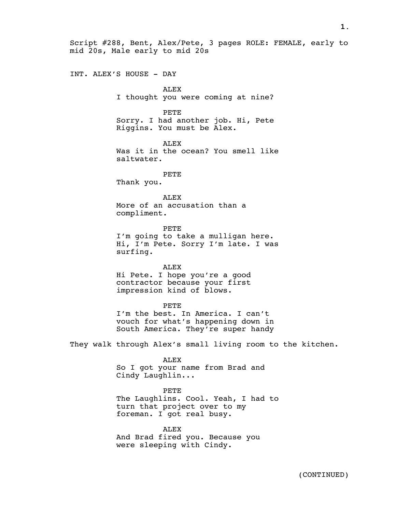Script #288, Bent, Alex/Pete, 3 pages ROLE: FEMALE, early to mid 20s, Male early to mid 20s

INT. ALEX'S HOUSE - DAY

ALEX I thought you were coming at nine?

PETE

Sorry. I had another job. Hi, Pete Riggins. You must be Alex.

ALEX Was it in the ocean? You smell like saltwater.

PETE Thank you.

ALEX More of an accusation than a compliment.

PETE I'm going to take a mulligan here. Hi, I'm Pete. Sorry I'm late. I was surfing.

ALEX Hi Pete. I hope you're a good contractor because your first impression kind of blows.

PETE I'm the best. In America. I can't vouch for what's happening down in South America. They're super handy

They walk through Alex's small living room to the kitchen.

ALEX So I got your name from Brad and Cindy Laughlin...

PETE The Laughlins. Cool. Yeah, I had to turn that project over to my foreman. I got real busy.

ALEX And Brad fired you. Because you were sleeping with Cindy.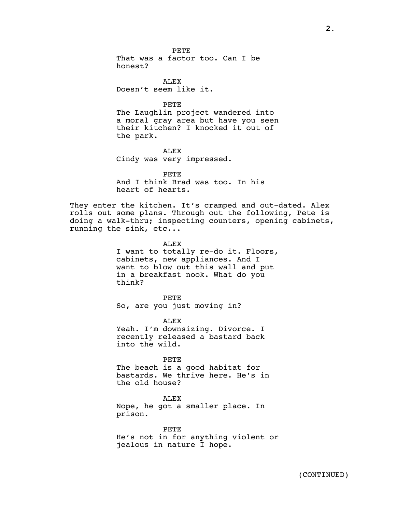1 PETE That was a factor too. Can I be honest?

ALEX Doesn't seem like it.

PETE

The Laughlin project wandered into a moral gray area but have you seen their kitchen? I knocked it out of the park.

ALEX Cindy was very impressed.

PETE And I think Brad was too. In his heart of hearts.

They enter the kitchen. It's cramped and out-dated. Alex rolls out some plans. Through out the following, Pete is doing a walk-thru; inspecting counters, opening cabinets, running the sink, etc...

> ALEX I want to totally re-do it. Floors, cabinets, new appliances. And I want to blow out this wall and put in a breakfast nook. What do you think?

PETE So, are you just moving in?

ALEX Yeah. I'm downsizing. Divorce. I recently released a bastard back into the wild.

PETE The beach is a good habitat for bastards. We thrive here. He's in the old house?

ALEX Nope, he got a smaller place. In prison.

PETE He's not in for anything violent or jealous in nature I hope.